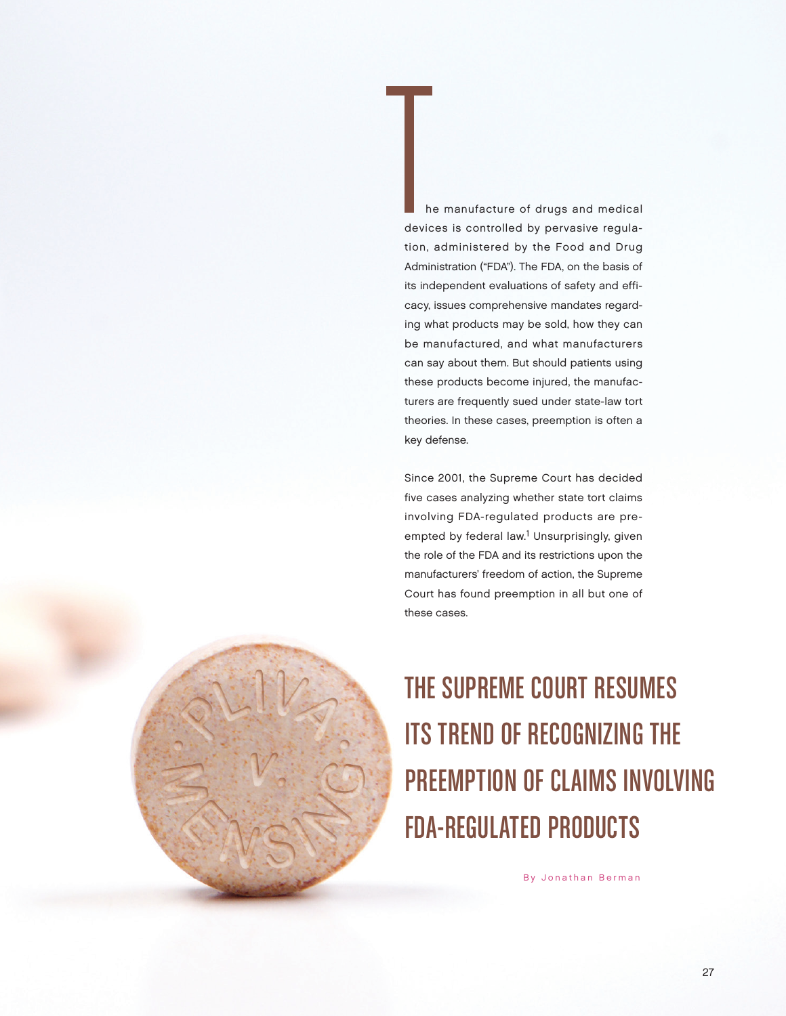The manufacture of drugs and medical<br>devices is controlled by pervasive regula-<br>tion edministered by the Food and Drug devices is controlled by pervasive regulation, administered by the Food and Drug Administration ("FDA"). The FDA, on the basis of its independent evaluations of safety and efficacy, issues comprehensive mandates regarding what products may be sold, how they can be manufactured, and what manufacturers can say about them. But should patients using these products become injured, the manufacturers are frequently sued under state-law tort theories. In these cases, preemption is often a key defense.

Since 2001, the Supreme Court has decided five cases analyzing whether state tort claims involving FDA-regulated products are preempted by federal law.<sup>1</sup> Unsurprisingly, given the role of the FDA and its restrictions upon the manufacturers' freedom of action, the Supreme Court has found preemption in all but one of these cases.

The Supreme Court Resumes Its Trend of Recognizing the PREEMPTION OF CLAIMS INVOLVING FDA-Regulated Products

By Jonathan Berman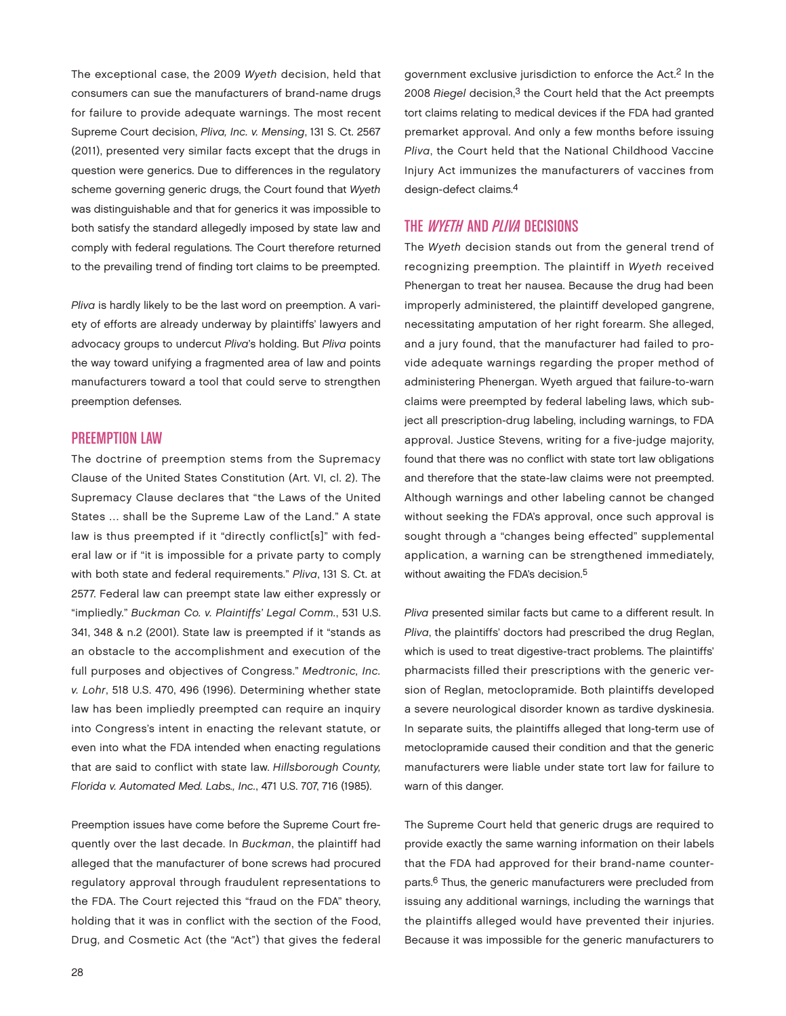The exceptional case, the 2009 Wyeth decision, held that consumers can sue the manufacturers of brand-name drugs for failure to provide adequate warnings. The most recent Supreme Court decision, Pliva, Inc. v. Mensing, 131 S. Ct. 2567 (2011), presented very similar facts except that the drugs in question were generics. Due to differences in the regulatory scheme governing generic drugs, the Court found that Wyeth was distinguishable and that for generics it was impossible to both satisfy the standard allegedly imposed by state law and comply with federal regulations. The Court therefore returned to the prevailing trend of finding tort claims to be preempted.

Pliva is hardly likely to be the last word on preemption. A variety of efforts are already underway by plaintiffs' lawyers and advocacy groups to undercut Pliva's holding. But Pliva points the way toward unifying a fragmented area of law and points manufacturers toward a tool that could serve to strengthen preemption defenses.

## **PREEMPTION LAW**

The doctrine of preemption stems from the Supremacy Clause of the United States Constitution (Art. VI, cl. 2). The Supremacy Clause declares that "the Laws of the United States … shall be the Supreme Law of the Land." A state law is thus preempted if it "directly conflict[s]" with federal law or if "it is impossible for a private party to comply with both state and federal requirements." Pliva, 131 S. Ct. at 2577. Federal law can preempt state law either expressly or "impliedly." Buckman Co. v. Plaintiffs' Legal Comm., 531 U.S. 341, 348 & n.2 (2001). State law is preempted if it "stands as an obstacle to the accomplishment and execution of the full purposes and objectives of Congress." Medtronic, Inc. v. Lohr, 518 U.S. 470, 496 (1996). Determining whether state law has been impliedly preempted can require an inquiry into Congress's intent in enacting the relevant statute, or even into what the FDA intended when enacting regulations that are said to conflict with state law. Hillsborough County, Florida v. Automated Med. Labs., Inc., 471 U.S. 707, 716 (1985).

Preemption issues have come before the Supreme Court frequently over the last decade. In Buckman, the plaintiff had alleged that the manufacturer of bone screws had procured regulatory approval through fraudulent representations to the FDA. The Court rejected this "fraud on the FDA" theory, holding that it was in conflict with the section of the Food, Drug, and Cosmetic Act (the "Act") that gives the federal government exclusive jurisdiction to enforce the Act.2 In the 2008 Riegel decision,<sup>3</sup> the Court held that the Act preempts tort claims relating to medical devices if the FDA had granted premarket approval. And only a few months before issuing Pliva, the Court held that the National Childhood Vaccine Injury Act immunizes the manufacturers of vaccines from design-defect claims.4

## THE *WYETH* AND *PLIVA* DECISIONS

The Wyeth decision stands out from the general trend of recognizing preemption. The plaintiff in Wyeth received Phenergan to treat her nausea. Because the drug had been improperly administered, the plaintiff developed gangrene, necessitating amputation of her right forearm. She alleged, and a jury found, that the manufacturer had failed to provide adequate warnings regarding the proper method of administering Phenergan. Wyeth argued that failure-to-warn claims were preempted by federal labeling laws, which subject all prescription-drug labeling, including warnings, to FDA approval. Justice Stevens, writing for a five-judge majority, found that there was no conflict with state tort law obligations and therefore that the state-law claims were not preempted. Although warnings and other labeling cannot be changed without seeking the FDA's approval, once such approval is sought through a "changes being effected" supplemental application, a warning can be strengthened immediately, without awaiting the FDA's decision.<sup>5</sup>

Pliva presented similar facts but came to a different result. In Pliva, the plaintiffs' doctors had prescribed the drug Reglan, which is used to treat digestive-tract problems. The plaintiffs' pharmacists filled their prescriptions with the generic version of Reglan, metoclopramide. Both plaintiffs developed a severe neurological disorder known as tardive dyskinesia. In separate suits, the plaintiffs alleged that long-term use of metoclopramide caused their condition and that the generic manufacturers were liable under state tort law for failure to warn of this danger.

The Supreme Court held that generic drugs are required to provide exactly the same warning information on their labels that the FDA had approved for their brand-name counterparts.6 Thus, the generic manufacturers were precluded from issuing any additional warnings, including the warnings that the plaintiffs alleged would have prevented their injuries. Because it was impossible for the generic manufacturers to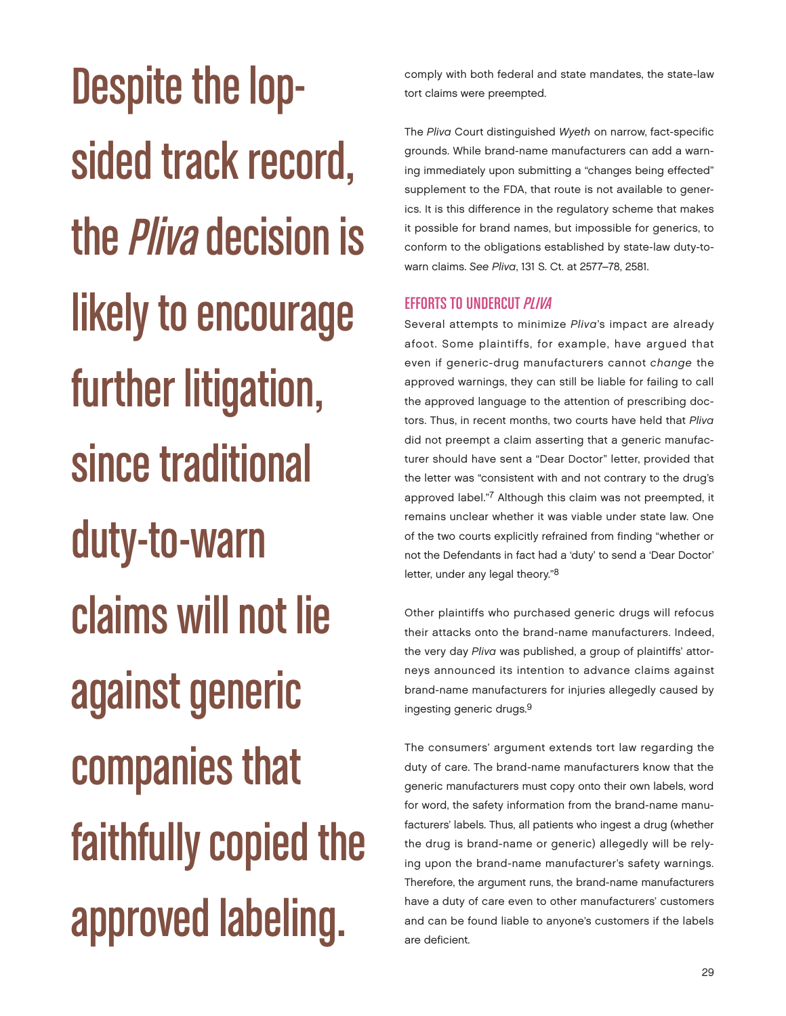Despite the lopsided track record, the *Pliva* decision is likely to encourage further litigation, since traditional duty-to-warn claims will not lie against generic companies that faithfully copied the approved labeling.

comply with both federal and state mandates, the state-law tort claims were preempted.

The Pliva Court distinguished Wyeth on narrow, fact-specific grounds. While brand-name manufacturers can add a warning immediately upon submitting a "changes being effected" supplement to the FDA, that route is not available to generics. It is this difference in the regulatory scheme that makes it possible for brand names, but impossible for generics, to conform to the obligations established by state-law duty-towarn claims. See Pliva, 131 S. Ct. at 2577–78, 2581.

# EFFORTS TO UNDERCUT PLIVA

Several attempts to minimize Pliva's impact are already afoot. Some plaintiffs, for example, have argued that even if generic-drug manufacturers cannot change the approved warnings, they can still be liable for failing to call the approved language to the attention of prescribing doctors. Thus, in recent months, two courts have held that Pliva did not preempt a claim asserting that a generic manufacturer should have sent a "Dear Doctor" letter, provided that the letter was "consistent with and not contrary to the drug's approved label."7 Although this claim was not preempted, it remains unclear whether it was viable under state law. One of the two courts explicitly refrained from finding "whether or not the Defendants in fact had a 'duty' to send a 'Dear Doctor' letter, under any legal theory."8

Other plaintiffs who purchased generic drugs will refocus their attacks onto the brand-name manufacturers. Indeed, the very day Pliva was published, a group of plaintiffs' attorneys announced its intention to advance claims against brand-name manufacturers for injuries allegedly caused by ingesting generic drugs.9

The consumers' argument extends tort law regarding the duty of care. The brand-name manufacturers know that the generic manufacturers must copy onto their own labels, word for word, the safety information from the brand-name manufacturers' labels. Thus, all patients who ingest a drug (whether the drug is brand-name or generic) allegedly will be relying upon the brand-name manufacturer's safety warnings. Therefore, the argument runs, the brand-name manufacturers have a duty of care even to other manufacturers' customers and can be found liable to anyone's customers if the labels are deficient.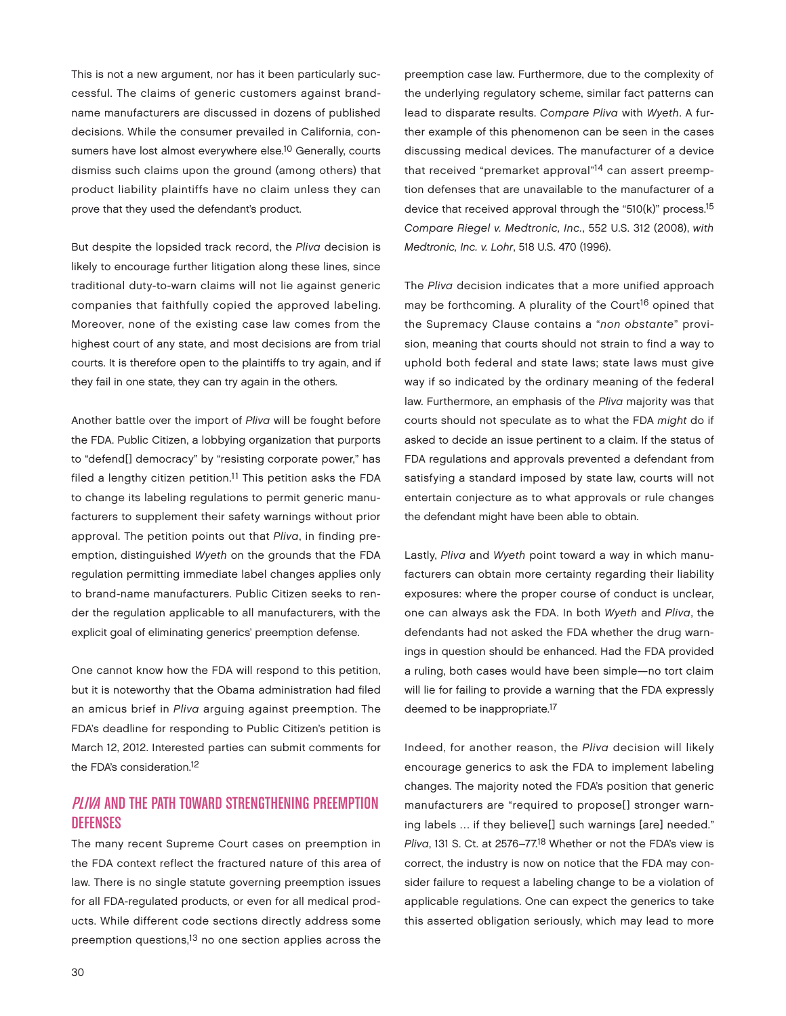This is not a new argument, nor has it been particularly successful. The claims of generic customers against brandname manufacturers are discussed in dozens of published decisions. While the consumer prevailed in California, consumers have lost almost everywhere else.<sup>10</sup> Generally, courts dismiss such claims upon the ground (among others) that product liability plaintiffs have no claim unless they can prove that they used the defendant's product.

But despite the lopsided track record, the Pliva decision is likely to encourage further litigation along these lines, since traditional duty-to-warn claims will not lie against generic companies that faithfully copied the approved labeling. Moreover, none of the existing case law comes from the highest court of any state, and most decisions are from trial courts. It is therefore open to the plaintiffs to try again, and if they fail in one state, they can try again in the others.

Another battle over the import of Pliva will be fought before the FDA. Public Citizen, a lobbying organization that purports to "defend[] democracy" by "resisting corporate power," has filed a lengthy citizen petition.<sup>11</sup> This petition asks the FDA to change its labeling regulations to permit generic manufacturers to supplement their safety warnings without prior approval. The petition points out that Pliva, in finding preemption, distinguished Wyeth on the grounds that the FDA regulation permitting immediate label changes applies only to brand-name manufacturers. Public Citizen seeks to render the regulation applicable to all manufacturers, with the explicit goal of eliminating generics' preemption defense.

One cannot know how the FDA will respond to this petition, but it is noteworthy that the Obama administration had filed an amicus brief in Pliva arguing against preemption. The FDA's deadline for responding to Public Citizen's petition is March 12, 2012. Interested parties can submit comments for the FDA's consideration.12

## PLIVA AND THE PATH TOWARD STRENGTHENING PREEMPTION Defenses

The many recent Supreme Court cases on preemption in the FDA context reflect the fractured nature of this area of law. There is no single statute governing preemption issues for all FDA-regulated products, or even for all medical products. While different code sections directly address some preemption questions,13 no one section applies across the

preemption case law. Furthermore, due to the complexity of the underlying regulatory scheme, similar fact patterns can lead to disparate results. Compare Pliva with Wyeth. A further example of this phenomenon can be seen in the cases discussing medical devices. The manufacturer of a device that received "premarket approval"<sup>14</sup> can assert preemption defenses that are unavailable to the manufacturer of a device that received approval through the "510(k)" process.15 Compare Riegel v. Medtronic, Inc., 552 U.S. 312 (2008), with Medtronic, Inc. v. Lohr, 518 U.S. 470 (1996).

The Pliva decision indicates that a more unified approach may be forthcoming. A plurality of the Court<sup>16</sup> opined that the Supremacy Clause contains a "non obstante" provision, meaning that courts should not strain to find a way to uphold both federal and state laws; state laws must give way if so indicated by the ordinary meaning of the federal law. Furthermore, an emphasis of the Pliva majority was that courts should not speculate as to what the FDA might do if asked to decide an issue pertinent to a claim. If the status of FDA regulations and approvals prevented a defendant from satisfying a standard imposed by state law, courts will not entertain conjecture as to what approvals or rule changes the defendant might have been able to obtain.

Lastly, Pliva and Wyeth point toward a way in which manufacturers can obtain more certainty regarding their liability exposures: where the proper course of conduct is unclear, one can always ask the FDA. In both Wyeth and Pliva, the defendants had not asked the FDA whether the drug warnings in question should be enhanced. Had the FDA provided a ruling, both cases would have been simple—no tort claim will lie for failing to provide a warning that the FDA expressly deemed to be inappropriate.17

Indeed, for another reason, the Pliva decision will likely encourage generics to ask the FDA to implement labeling changes. The majority noted the FDA's position that generic manufacturers are "required to propose[] stronger warning labels … if they believe[] such warnings [are] needed." Pliva, 131 S. Ct. at 2576–77.18 Whether or not the FDA's view is correct, the industry is now on notice that the FDA may consider failure to request a labeling change to be a violation of applicable regulations. One can expect the generics to take this asserted obligation seriously, which may lead to more